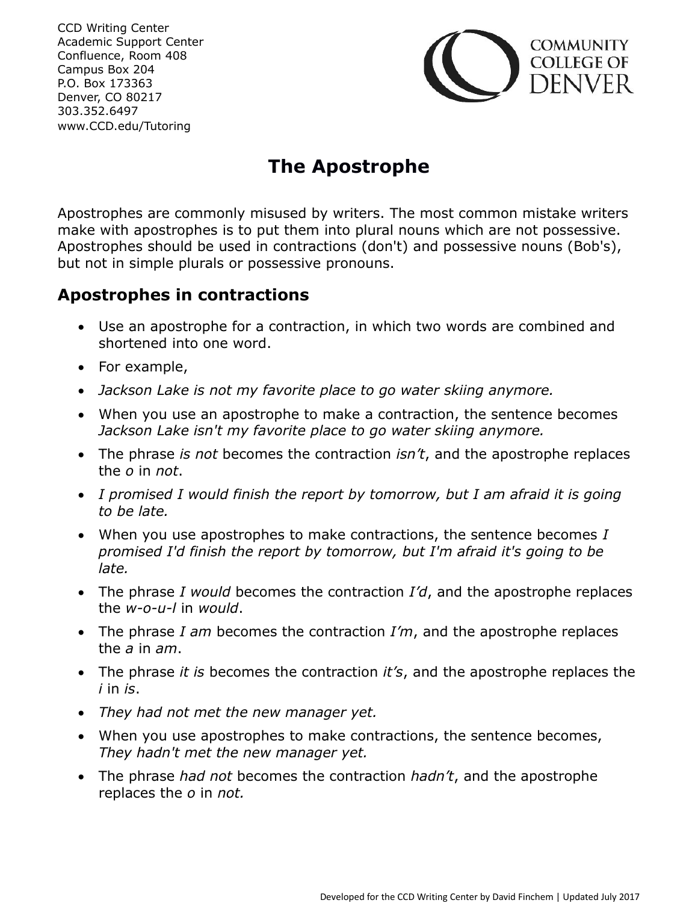CCD Writing Center Academic Support Center Confluence, Room 408 Campus Box 204 P.O. Box 173363 Denver, CO 80217 303.352.6497 www.CCD.edu/Tutoring



# **The Apostrophe**

Apostrophes are commonly misused by writers. The most common mistake writers make with apostrophes is to put them into plural nouns which are not possessive. Apostrophes should be used in contractions (don't) and possessive nouns (Bob's), but not in simple plurals or possessive pronouns.

## **Apostrophes in contractions**

- Use an apostrophe for a contraction, in which two words are combined and shortened into one word.
- For example,
- *Jackson Lake is not my favorite place to go water skiing anymore.*
- When you use an apostrophe to make a contraction, the sentence becomes *Jackson Lake isn't my favorite place to go water skiing anymore.*
- The phrase *is not* becomes the contraction *isn't*, and the apostrophe replaces the *o* in *not*.
- *I promised I would finish the report by tomorrow, but I am afraid it is going to be late.*
- When you use apostrophes to make contractions, the sentence becomes *I promised I'd finish the report by tomorrow, but I'm afraid it's going to be late.*
- The phrase *I would* becomes the contraction *I'd*, and the apostrophe replaces the *w-o-u-l* in *would*.
- The phrase *I am* becomes the contraction *I'm*, and the apostrophe replaces the *a* in *am*.
- The phrase *it is* becomes the contraction *it's*, and the apostrophe replaces the *i* in *is*.
- *They had not met the new manager yet.*
- When you use apostrophes to make contractions, the sentence becomes, *They hadn't met the new manager yet.*
- The phrase *had not* becomes the contraction *hadn't*, and the apostrophe replaces the *o* in *not.*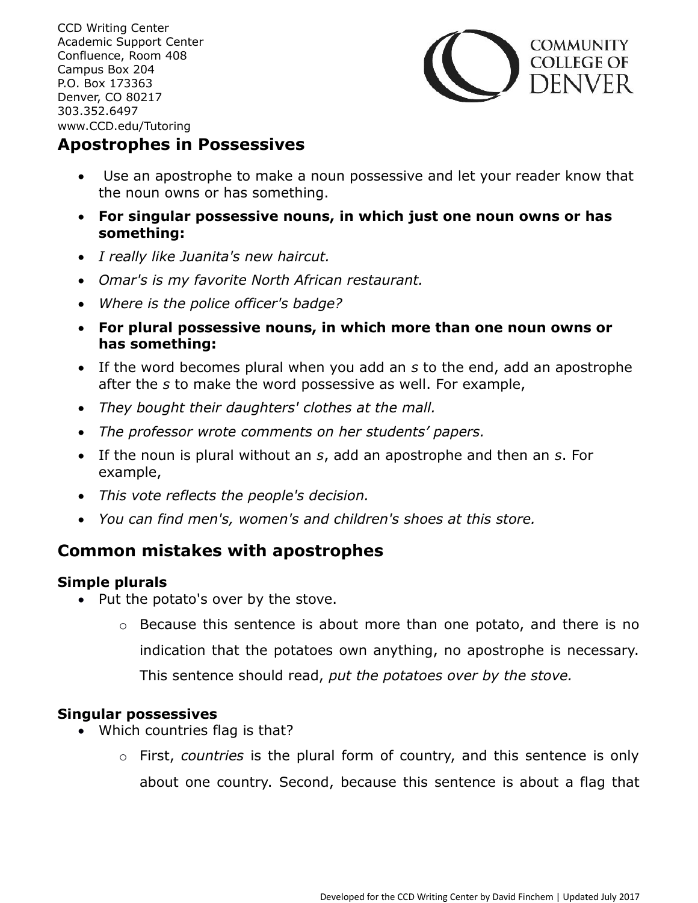CCD Writing Center Academic Support Center Confluence, Room 408 Campus Box 204 P.O. Box 173363 Denver, CO 80217 303.352.6497 www.CCD.edu/Tutoring



### **Apostrophes in Possessives**

- Use an apostrophe to make a noun possessive and let your reader know that the noun owns or has something.
- **For singular possessive nouns, in which just one noun owns or has something:**
- *I really like Juanita's new haircut.*
- *Omar's is my favorite North African restaurant.*
- *Where is the police officer's badge?*
- **For plural possessive nouns, in which more than one noun owns or has something:**
- If the word becomes plural when you add an *s* to the end, add an apostrophe after the *s* to make the word possessive as well. For example,
- *They bought their daughters' clothes at the mall.*
- *The professor wrote comments on her students' papers.*
- If the noun is plural without an *s*, add an apostrophe and then an *s*. For example,
- *This vote reflects the people's decision.*
- *You can find men's, women's and children's shoes at this store.*

## **Common mistakes with apostrophes**

#### **Simple plurals**

- Put the potato's over by the stove.
	- o Because this sentence is about more than one potato, and there is no indication that the potatoes own anything, no apostrophe is necessary. This sentence should read, *put the potatoes over by the stove.*

#### **Singular possessives**

- Which countries flag is that?
	- o First, *countries* is the plural form of country, and this sentence is only about one country. Second, because this sentence is about a flag that